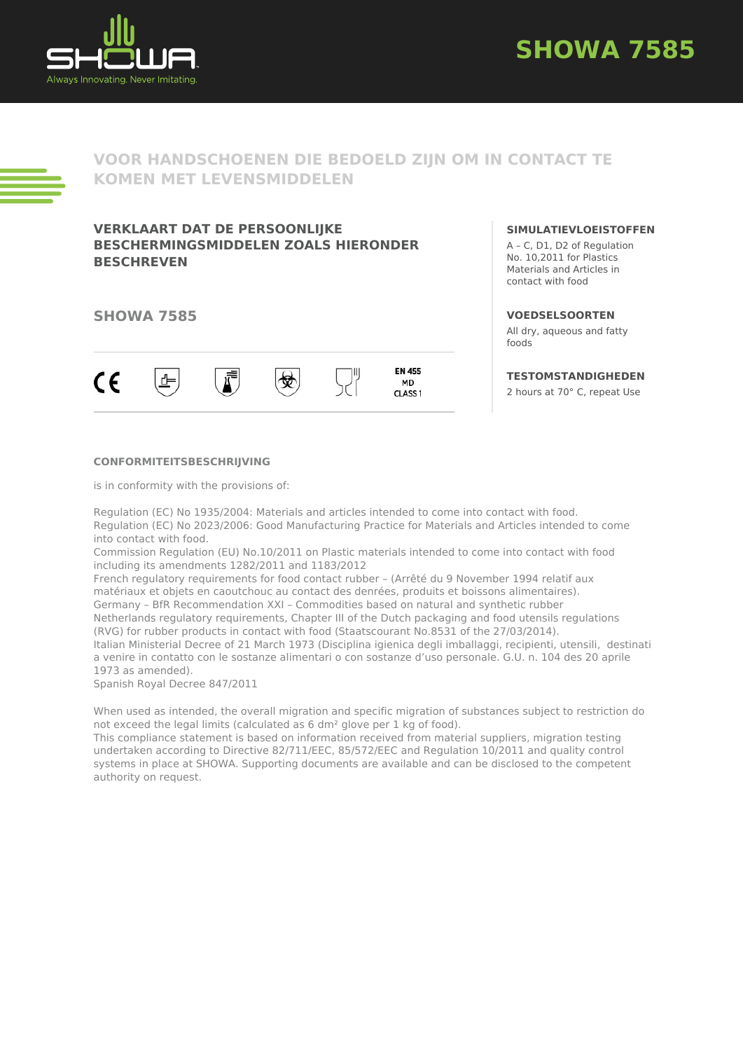



# **VOOR HANDSCHOENEN DIE BEDOELD ZIJN OM IN CONTACT TE KOMEN MET LEVENSMIDDELEN**

## **VERKLAART DAT DE PERSOONLIJKE BESCHERMINGSMIDDELEN ZOALS HIERONDER BESCHREVEN**

### **SHOWA 7585**



#### **SIMULATIEVLOEISTOFFEN**

A – C, D1, D2 of Regulation No. 10,2011 for Plastics Materials and Articles in contact with food

#### **VOEDSELSOORTEN**

All dry, aqueous and fatty foods

### **TESTOMSTANDIGHEDEN**

2 hours at 70° C, repeat Use

#### **CONFORMITEITSBESCHRIJVING**

is in conformity with the provisions of:

Regulation (EC) No 1935/2004: Materials and articles intended to come into contact with food. Regulation (EC) No 2023/2006: Good Manufacturing Practice for Materials and Articles intended to come into contact with food.

Commission Regulation (EU) No.10/2011 on Plastic materials intended to come into contact with food including its amendments 1282/2011 and 1183/2012

French regulatory requirements for food contact rubber – (Arrêté du 9 November 1994 relatif aux matériaux et objets en caoutchouc au contact des denrées, produits et boissons alimentaires). Germany – BfR Recommendation XXI – Commodities based on natural and synthetic rubber Netherlands regulatory requirements, Chapter III of the Dutch packaging and food utensils regulations (RVG) for rubber products in contact with food (Staatscourant No.8531 of the 27/03/2014). Italian Ministerial Decree of 21 March 1973 (Disciplina igienica degli imballaggi, recipienti, utensili, destinati

a venire in contatto con le sostanze alimentari o con sostanze d'uso personale. G.U. n. 104 des 20 aprile 1973 as amended).

Spanish Royal Decree 847/2011

When used as intended, the overall migration and specific migration of substances subject to restriction do not exceed the legal limits (calculated as 6 dm² glove per 1 kg of food).

This compliance statement is based on information received from material suppliers, migration testing undertaken according to Directive 82/711/EEC, 85/572/EEC and Regulation 10/2011 and quality control systems in place at SHOWA. Supporting documents are available and can be disclosed to the competent authority on request.